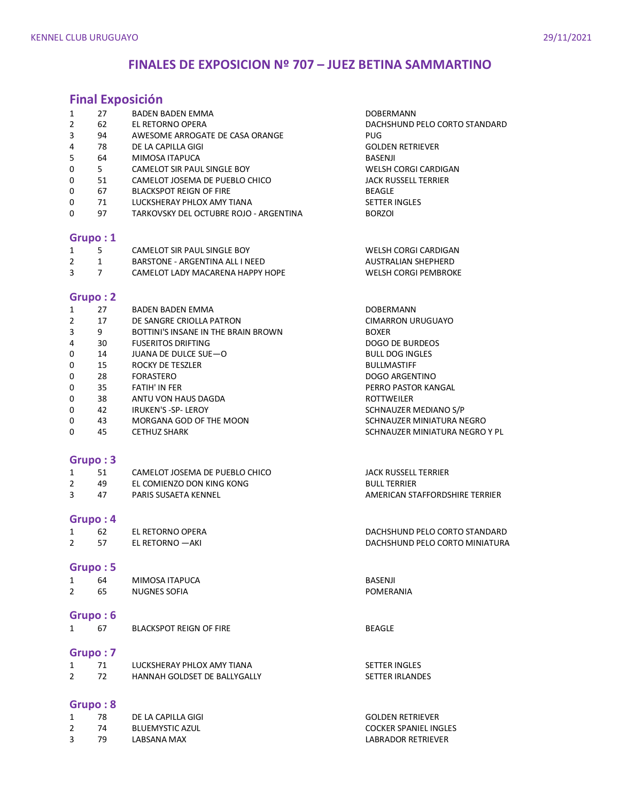## **FINALES DE EXPOSICION Nº 707 – JUEZ BETINA SAMMARTINO**

# **Final Exposición**

|                |                | <b>Final Exposicion</b>                |                                |
|----------------|----------------|----------------------------------------|--------------------------------|
| $\mathbf{1}$   | 27             | BADEN BADEN EMMA                       | <b>DOBERMANN</b>               |
| $\overline{2}$ | 62             | EL RETORNO OPERA                       | DACHSHUND PELO CORTO STANDARD  |
| 3              | 94             | AWESOME ARROGATE DE CASA ORANGE        | <b>PUG</b>                     |
| 4              | 78             | DE LA CAPILLA GIGI                     | <b>GOLDEN RETRIEVER</b>        |
| 5              | 64             | MIMOSA ITAPUCA                         | <b>BASENJI</b>                 |
| 0              | 5 <sup>1</sup> | CAMELOT SIR PAUL SINGLE BOY            | WELSH CORGI CARDIGAN           |
| 0              | 51             | CAMELOT JOSEMA DE PUEBLO CHICO         | <b>JACK RUSSELL TERRIER</b>    |
|                | 67             |                                        |                                |
| 0              |                | <b>BLACKSPOT REIGN OF FIRE</b>         | <b>BEAGLE</b>                  |
| 0              | 71             | LUCKSHERAY PHLOX AMY TIANA             | <b>SETTER INGLES</b>           |
| 0              | 97             | TARKOVSKY DEL OCTUBRE ROJO - ARGENTINA | <b>BORZOI</b>                  |
|                | Grupo: 1       |                                        |                                |
| 1              | 5              | CAMELOT SIR PAUL SINGLE BOY            | WELSH CORGI CARDIGAN           |
| $\overline{2}$ | $\mathbf{1}$   | BARSTONE - ARGENTINA ALL I NEED        | AUSTRALIAN SHEPHERD            |
| 3              | $\overline{7}$ | CAMELOT LADY MACARENA HAPPY HOPE       | <b>WELSH CORGI PEMBROKE</b>    |
|                |                |                                        |                                |
|                | Grupo: 2       |                                        |                                |
| 1              | 27             | BADEN BADEN EMMA                       | DOBERMANN                      |
| $\overline{2}$ | 17             | DE SANGRE CRIOLLA PATRON               | <b>CIMARRON URUGUAYO</b>       |
| 3              | 9              | BOTTINI'S INSANE IN THE BRAIN BROWN    | <b>BOXER</b>                   |
| 4              | 30             | <b>FUSERITOS DRIFTING</b>              | <b>DOGO DE BURDEOS</b>         |
| 0              | 14             | JUANA DE DULCE SUE-O                   | <b>BULL DOG INGLES</b>         |
| 0              | 15             | ROCKY DE TESZLER                       | <b>BULLMASTIFF</b>             |
| 0              | 28             | <b>FORASTERO</b>                       | DOGO ARGENTINO                 |
| 0              | 35             | <b>FATIH' IN FER</b>                   | PERRO PASTOR KANGAL            |
| 0              | 38             | ANTU VON HAUS DAGDA                    | <b>ROTTWEILER</b>              |
|                | 42             |                                        |                                |
| 0              |                | IRUKEN'S -SP- LEROY                    | SCHNAUZER MEDIANO S/P          |
| 0              | 43             | MORGANA GOD OF THE MOON                | SCHNAUZER MINIATURA NEGRO      |
| 0              | 45             | <b>CETHUZ SHARK</b>                    | SCHNAUZER MINIATURA NEGRO Y PL |
|                | Grupo: 3       |                                        |                                |
|                |                |                                        |                                |
| $\mathbf{1}$   | 51             | CAMELOT JOSEMA DE PUEBLO CHICO         | <b>JACK RUSSELL TERRIER</b>    |
| $\overline{2}$ | 49             | EL COMIENZO DON KING KONG              | <b>BULL TERRIER</b>            |
| 3              | 47             | PARIS SUSAETA KENNEL                   | AMERICAN STAFFORDSHIRE TERRIER |
|                | Grupo: 4       |                                        |                                |
| $\mathbf{1}$   | 62             | EL RETORNO OPERA                       | DACHSHUND PELO CORTO STANDARD  |
| $\overline{2}$ | 57             | EL RETORNO - AKI                       | DACHSHUND PELO CORTO MINIATURA |
|                |                |                                        |                                |
|                | Grupo: 5       |                                        |                                |
| $\mathbf{1}$   | 64             | MIMOSA ITAPUCA                         | BASENJI                        |
| $\overline{2}$ | 65             | <b>NUGNES SOFIA</b>                    | <b>POMERANIA</b>               |
|                |                |                                        |                                |
|                | Grupo: 6       |                                        |                                |
| $\mathbf{1}$   | 67             | <b>BLACKSPOT REIGN OF FIRE</b>         | <b>BEAGLE</b>                  |
|                | Grupo: 7       |                                        |                                |
| $\mathbf{1}$   | 71             | LUCKSHERAY PHLOX AMY TIANA             | <b>SETTER INGLES</b>           |
| $\overline{2}$ | 72             | HANNAH GOLDSET DE BALLYGALLY           | <b>SETTER IRLANDES</b>         |
|                |                |                                        |                                |
|                | Grupo: 8       |                                        |                                |
|                |                |                                        |                                |

1 78 DE LA CAPILLA GIGI GOLDEN RETRIEVER 2 74 BLUEMYSTIC AZUL COCKER SPANIEL INGLES 3 79 LABSANA MAX LABRADOR RETRIEVER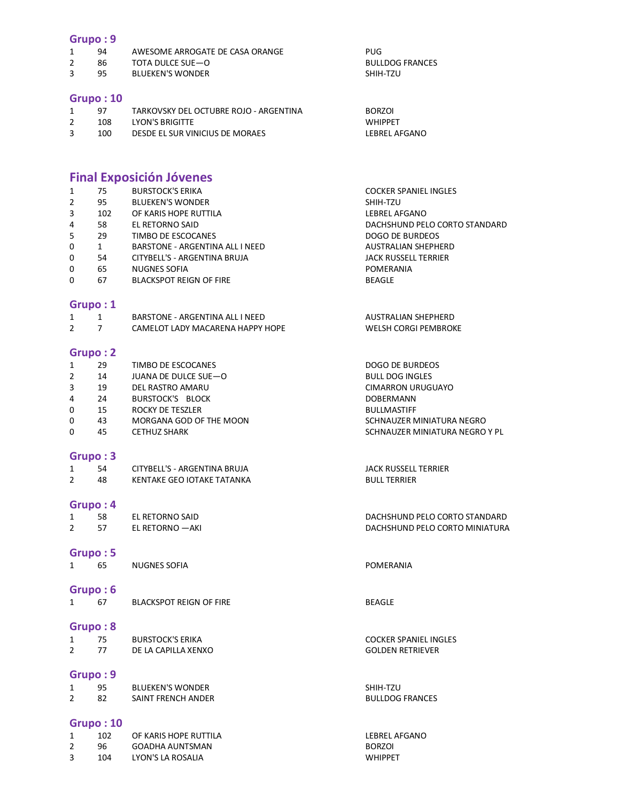### **Grupo : 9**

| 94 | AWESOME ARROGATE DE CASA ORANGE | PUG                    |
|----|---------------------------------|------------------------|
| 86 | TOTA DULCE SUE—O                | <b>BULLDOG FRANCES</b> |

3 95 BLUEKEN'S WONDER SHIH-TZU

#### **Grupo : 10**

| 97  | TARKOVSKY DEL OCTUBRE ROJO - ARGENTINA | <b>BORZOI</b>  |  |
|-----|----------------------------------------|----------------|--|
| 108 | LYON'S BRIGITTE                        | <b>WHIPPFT</b> |  |
| 100 | DESDE EL SUR VINICIUS DE MORAES        | LEBREL AFGANO  |  |

# **Final Exposición Jóvenes**

| 1<br>$\overline{2}$<br>3<br>4 | 75<br>95<br>102<br>58 | <b>BURSTOCK'S ERIKA</b><br><b>BLUEKEN'S WONDER</b><br>OF KARIS HOPE RUTTILA<br>EL RETORNO SAID | <b>COCKER SPANIEL INGLES</b><br>SHIH-TZU<br><b>LEBREL AFGANO</b><br>DACHSHUND PELO CORTO STANDARD |
|-------------------------------|-----------------------|------------------------------------------------------------------------------------------------|---------------------------------------------------------------------------------------------------|
| 5                             | 29                    | TIMBO DE ESCOCANES                                                                             | <b>DOGO DE BURDEOS</b>                                                                            |
| 0                             | $\mathbf{1}$          | BARSTONE - ARGENTINA ALL I NEED                                                                | AUSTRALIAN SHEPHERD                                                                               |
| 0                             | 54                    | CITYBELL'S - ARGENTINA BRUJA                                                                   | <b>JACK RUSSELL TERRIER</b>                                                                       |
| 0                             | 65                    | <b>NUGNES SOFIA</b>                                                                            | POMERANIA                                                                                         |
| 0                             | 67                    | <b>BLACKSPOT REIGN OF FIRE</b>                                                                 | <b>BEAGLE</b>                                                                                     |
|                               | Grupo: 1              |                                                                                                |                                                                                                   |
| $\mathbf{1}$                  | $\mathbf{1}$          | BARSTONE - ARGENTINA ALL I NEED                                                                | <b>AUSTRALIAN SHEPHERD</b>                                                                        |
| $\overline{2}$                | $\overline{7}$        | CAMELOT LADY MACARENA HAPPY HOPE                                                               | <b>WELSH CORGI PEMBROKE</b>                                                                       |
|                               | Grupo: 2              |                                                                                                |                                                                                                   |
| $\mathbf{1}$                  | 29                    | TIMBO DE ESCOCANES                                                                             | DOGO DE BURDEOS                                                                                   |
| $\overline{2}$                | 14                    | JUANA DE DULCE SUE-O                                                                           | <b>BULL DOG INGLES</b>                                                                            |
| 3                             | 19                    | DEL RASTRO AMARU                                                                               | <b>CIMARRON URUGUAYO</b>                                                                          |
| 4                             | 24                    | <b>BURSTOCK'S BLOCK</b>                                                                        | DOBERMANN                                                                                         |
| 0                             | 15                    | ROCKY DE TESZLER                                                                               | <b>BULLMASTIFF</b>                                                                                |
| 0                             | 43                    | MORGANA GOD OF THE MOON                                                                        | SCHNAUZER MINIATURA NEGRO                                                                         |
| 0                             | 45                    | <b>CETHUZ SHARK</b>                                                                            | SCHNAUZER MINIATURA NEGRO Y PL                                                                    |
|                               | Grupo: 3              |                                                                                                |                                                                                                   |
| $\mathbf{1}$                  | 54                    | CITYBELL'S - ARGENTINA BRUJA                                                                   | <b>JACK RUSSELL TERRIER</b>                                                                       |
| $\overline{2}$                | 48                    | KENTAKE GEO IOTAKE TATANKA                                                                     | <b>BULL TERRIER</b>                                                                               |
|                               | Grupo: 4              |                                                                                                |                                                                                                   |
| $\mathbf{1}$                  | 58                    | EL RETORNO SAID                                                                                | DACHSHUND PELO CORTO STANDARD                                                                     |
| $\overline{2}$                | 57                    | EL RETORNO - AKI                                                                               | DACHSHUND PELO CORTO MINIATURA                                                                    |
|                               | Grupo: 5              |                                                                                                |                                                                                                   |
| $\mathbf{1}$                  | 65                    | <b>NUGNES SOFIA</b>                                                                            | POMERANIA                                                                                         |
|                               | Grupo: 6              |                                                                                                |                                                                                                   |
| 1                             | 67                    | <b>BLACKSPOT REIGN OF FIRE</b>                                                                 | <b>BEAGLE</b>                                                                                     |
|                               |                       |                                                                                                |                                                                                                   |
|                               | Grupo: 8              |                                                                                                |                                                                                                   |
|                               | 75                    | <b>BURSTOCK'S ERIKA</b>                                                                        | <b>COCKER SPANIEL INGLES</b>                                                                      |
| $\overline{2}$                | 77                    | DE LA CAPILLA XENXO                                                                            | <b>GOLDEN RETRIEVER</b>                                                                           |
|                               | Grupo: 9              |                                                                                                |                                                                                                   |
| $\mathbf{1}$                  | 95                    | <b>BLUEKEN'S WONDER</b>                                                                        | SHIH-TZU                                                                                          |
| $\overline{2}$                | 82                    | SAINT FRENCH ANDER                                                                             | <b>BULLDOG FRANCES</b>                                                                            |
|                               | Grupo: 10             |                                                                                                |                                                                                                   |
| $\mathbf{1}$                  | 102                   | OF KARIS HOPE RUTTILA                                                                          | LEBREL AFGANO                                                                                     |
| $\overline{2}$                | 96                    | <b>GOADHA AUNTSMAN</b>                                                                         | <b>BORZOI</b>                                                                                     |
| 3                             | 104                   | LYON'S LA ROSALIA                                                                              | <b>WHIPPET</b>                                                                                    |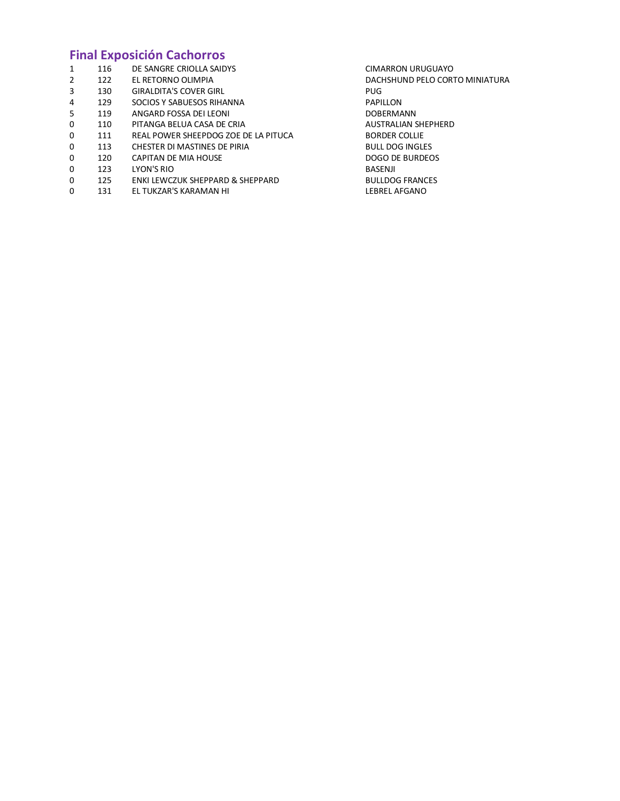# **Final Exposición Cachorros**

| 1 | 116 | DE SANGRE CRIOLLA SAIDYS             | CIMARRON URUGUAYO              |
|---|-----|--------------------------------------|--------------------------------|
| 2 | 122 | EL RETORNO OLIMPIA                   | DACHSHUND PELO CORTO MINIATURA |
| 3 | 130 | <b>GIRALDITA'S COVER GIRL</b>        | PUG.                           |
| 4 | 129 | SOCIOS Y SABUESOS RIHANNA            | <b>PAPILLON</b>                |
| 5 | 119 | ANGARD FOSSA DEI LEONI               | <b>DOBERMANN</b>               |
| 0 | 110 | PITANGA BELUA CASA DE CRIA           | <b>AUSTRALIAN SHEPHERD</b>     |
| 0 | 111 | REAL POWER SHEEPDOG ZOE DE LA PITUCA | <b>BORDER COLLIE</b>           |
| 0 | 113 | CHESTER DI MASTINES DE PIRIA         | <b>BULL DOG INGLES</b>         |
| 0 | 120 | CAPITAN DE MIA HOUSE                 | DOGO DE BURDEOS                |
| 0 | 123 | LYON'S RIO                           | BASENJI                        |
| 0 | 125 | ENKI LEWCZUK SHEPPARD & SHEPPARD     | <b>BULLDOG FRANCES</b>         |
| 0 | 131 | EL TUKZAR'S KARAMAN HI               | LEBREL AFGANO                  |
|   |     |                                      |                                |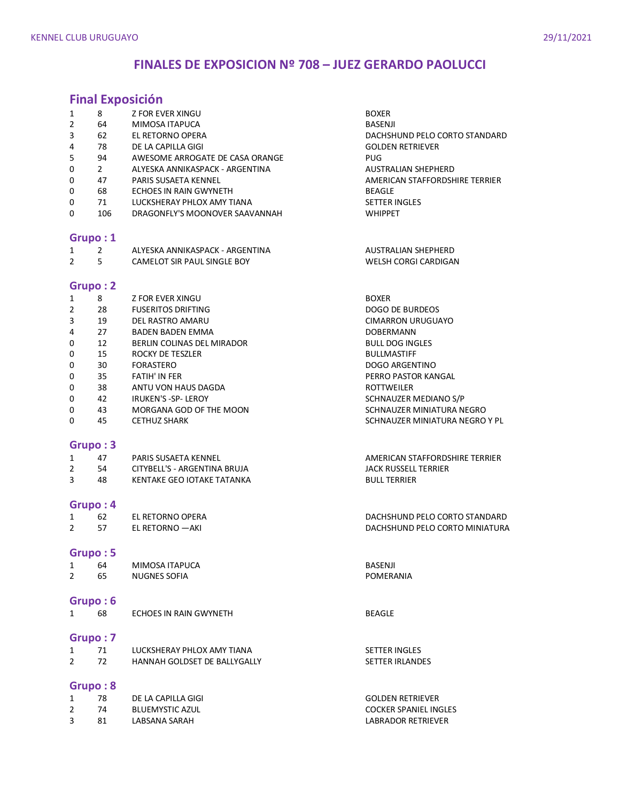# **FINALES DE EXPOSICION Nº 708 – JUEZ GERARDO PAOLUCCI**

## **Final Exposición**

| 1<br>2<br>3<br>4<br>5<br>0<br>0<br>0<br>0<br>0 | 8<br>64<br>62<br>78<br>94<br>$\overline{2}$<br>47<br>68<br>71<br>106 | <b>Z FOR EVER XINGU</b><br>MIMOSA ITAPUCA<br>EL RETORNO OPERA<br>DE LA CAPILLA GIGI<br>AWESOME ARROGATE DE CASA ORANGE<br>ALYESKA ANNIKASPACK - ARGENTINA<br>PARIS SUSAETA KENNEL<br>ECHOES IN RAIN GWYNETH<br>LUCKSHERAY PHLOX AMY TIANA<br>DRAGONFLY'S MOONOVER SAAVANNAH | <b>BOXER</b><br><b>BASENJI</b><br>DACHSHUND PELO CORTO STANDARD<br><b>GOLDEN RETRIEVER</b><br><b>PUG</b><br>AUSTRALIAN SHEPHERD<br>AMERICAN STAFFORDSHIRE TERRIER<br><b>BEAGLE</b><br><b>SETTER INGLES</b><br><b>WHIPPET</b> |
|------------------------------------------------|----------------------------------------------------------------------|-----------------------------------------------------------------------------------------------------------------------------------------------------------------------------------------------------------------------------------------------------------------------------|------------------------------------------------------------------------------------------------------------------------------------------------------------------------------------------------------------------------------|
|                                                |                                                                      |                                                                                                                                                                                                                                                                             |                                                                                                                                                                                                                              |
|                                                | Grupo: 1                                                             |                                                                                                                                                                                                                                                                             |                                                                                                                                                                                                                              |
| 1<br>$\overline{2}$                            | $\overline{2}$<br>5                                                  | ALYESKA ANNIKASPACK - ARGENTINA<br>CAMELOT SIR PAUL SINGLE BOY                                                                                                                                                                                                              | AUSTRALIAN SHEPHERD<br>WELSH CORGI CARDIGAN                                                                                                                                                                                  |
|                                                | Grupo: 2                                                             |                                                                                                                                                                                                                                                                             |                                                                                                                                                                                                                              |
| 1                                              | 8                                                                    | <b>Z FOR EVER XINGU</b>                                                                                                                                                                                                                                                     | <b>BOXER</b>                                                                                                                                                                                                                 |
| 2                                              | 28                                                                   | <b>FUSERITOS DRIFTING</b>                                                                                                                                                                                                                                                   | <b>DOGO DE BURDEOS</b>                                                                                                                                                                                                       |
| 3                                              | 19                                                                   | DEL RASTRO AMARU                                                                                                                                                                                                                                                            | <b>CIMARRON URUGUAYO</b>                                                                                                                                                                                                     |
| 4                                              | 27                                                                   | <b>BADEN BADEN EMMA</b>                                                                                                                                                                                                                                                     | <b>DOBERMANN</b>                                                                                                                                                                                                             |
| 0                                              | 12                                                                   | BERLIN COLINAS DEL MIRADOR                                                                                                                                                                                                                                                  | <b>BULL DOG INGLES</b>                                                                                                                                                                                                       |
| 0                                              | 15                                                                   | ROCKY DE TESZLER                                                                                                                                                                                                                                                            | <b>BULLMASTIFF</b>                                                                                                                                                                                                           |
| 0                                              | 30                                                                   | FORASTERO                                                                                                                                                                                                                                                                   | <b>DOGO ARGENTINO</b>                                                                                                                                                                                                        |
| 0                                              | 35                                                                   | FATIH' IN FER                                                                                                                                                                                                                                                               | PERRO PASTOR KANGAL                                                                                                                                                                                                          |
| 0                                              | 38                                                                   | ANTU VON HAUS DAGDA                                                                                                                                                                                                                                                         | ROTTWEILER                                                                                                                                                                                                                   |
| 0                                              | 42                                                                   | IRUKEN'S -SP- LEROY                                                                                                                                                                                                                                                         | SCHNAUZER MEDIANO S/P                                                                                                                                                                                                        |
| 0                                              | 43                                                                   | MORGANA GOD OF THE MOON                                                                                                                                                                                                                                                     | SCHNAUZER MINIATURA NEGRO                                                                                                                                                                                                    |
| 0                                              | 45                                                                   | <b>CETHUZ SHARK</b>                                                                                                                                                                                                                                                         | SCHNAUZER MINIATURA NEGRO Y PL                                                                                                                                                                                               |
|                                                | Grupo: 3                                                             |                                                                                                                                                                                                                                                                             |                                                                                                                                                                                                                              |
| 1                                              | 47                                                                   | PARIS SUSAETA KENNEL                                                                                                                                                                                                                                                        | AMERICAN STAFFORDSHIRE TERRIER                                                                                                                                                                                               |
| 2                                              | 54                                                                   | CITYBELL'S - ARGENTINA BRUJA                                                                                                                                                                                                                                                | <b>JACK RUSSELL TERRIER</b>                                                                                                                                                                                                  |
| 3                                              | 48                                                                   | KENTAKE GEO IOTAKE TATANKA                                                                                                                                                                                                                                                  | <b>BULL TERRIER</b>                                                                                                                                                                                                          |
|                                                | Grupo: 4                                                             |                                                                                                                                                                                                                                                                             |                                                                                                                                                                                                                              |
| 1                                              | 62                                                                   | EL RETORNO OPERA                                                                                                                                                                                                                                                            | DACHSHUND PELO CORTO STANDARD                                                                                                                                                                                                |
| $\overline{2}$                                 | 57                                                                   | EL RETORNO - AKI                                                                                                                                                                                                                                                            | DACHSHUND PELO CORTO MINIATURA                                                                                                                                                                                               |
|                                                | Grupo: 5                                                             |                                                                                                                                                                                                                                                                             |                                                                                                                                                                                                                              |
| 1                                              | 64                                                                   | MIMOSA ITAPUCA                                                                                                                                                                                                                                                              | <b>BASENJI</b>                                                                                                                                                                                                               |
| $\overline{2}$                                 | 65                                                                   | <b>NUGNES SOFIA</b>                                                                                                                                                                                                                                                         | POMERANIA                                                                                                                                                                                                                    |
|                                                | Grupo: 6                                                             |                                                                                                                                                                                                                                                                             |                                                                                                                                                                                                                              |
| $\mathbf{1}$                                   | 68                                                                   | <b>ECHOES IN RAIN GWYNETH</b>                                                                                                                                                                                                                                               | <b>BEAGLE</b>                                                                                                                                                                                                                |
|                                                | Grupo: 7                                                             |                                                                                                                                                                                                                                                                             |                                                                                                                                                                                                                              |
| $\mathbf{1}$                                   | 71                                                                   | LUCKSHERAY PHLOX AMY TIANA                                                                                                                                                                                                                                                  | <b>SETTER INGLES</b>                                                                                                                                                                                                         |
| $\overline{2}$                                 | 72                                                                   | HANNAH GOLDSET DE BALLYGALLY                                                                                                                                                                                                                                                | <b>SETTER IRLANDES</b>                                                                                                                                                                                                       |
|                                                | Grupo: 8                                                             |                                                                                                                                                                                                                                                                             |                                                                                                                                                                                                                              |
| 1                                              | 78                                                                   | DE LA CAPILLA GIGI                                                                                                                                                                                                                                                          | <b>GOLDEN RETRIEVER</b>                                                                                                                                                                                                      |
| $\overline{2}$                                 | 74                                                                   | <b>BLUEMYSTIC AZUL</b>                                                                                                                                                                                                                                                      | <b>COCKER SPANIEL INGLES</b>                                                                                                                                                                                                 |
| 3                                              | 81                                                                   | LABSANA SARAH                                                                                                                                                                                                                                                               | LABRADOR RETRIEVER                                                                                                                                                                                                           |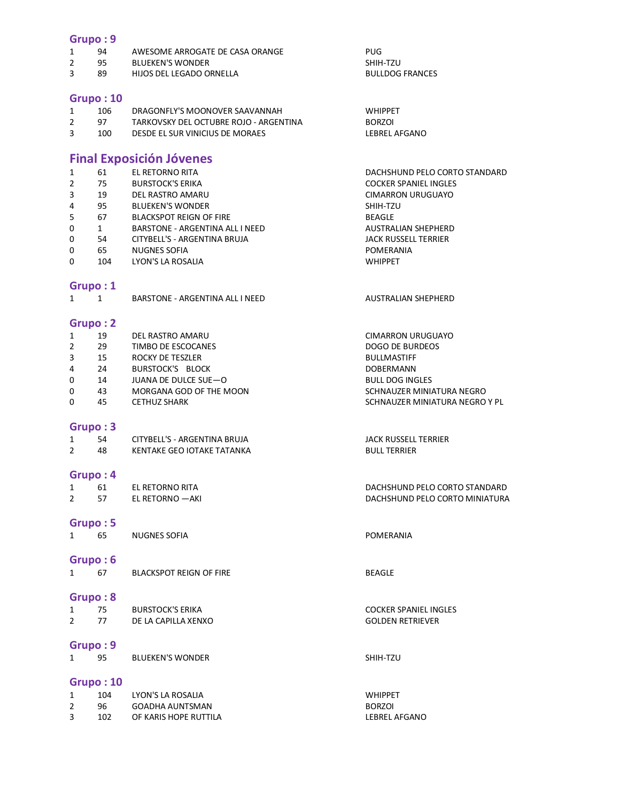#### **Grupo : 9**

|  | AWESOME ARROGATE DE CASA ORANGE | PUG |
|--|---------------------------------|-----|
|  | <b>BULLEVENIC MUONIBER</b>      | .   |

2 95 BLUEKEN'S WONDER<br>3 89 HIJOS DEL LEGADO ORNELLA SHIM-SHIM-SHIM-SHIM-TZU 89 HIJOS DEL LEGADO ORNELLA

#### **Grupo : 10**

| 106 | DRAGONFLY'S MOONOVER SAAVANNAH         | <b>WHIPPFT</b> |
|-----|----------------------------------------|----------------|
| 97  | TARKOVSKY DEL OCTUBRE ROJO - ARGENTINA | BORZOI         |
| 100 | DESDE EL SUR VINICIUS DE MORAES        | LEBREL A       |

## **Final Exposición Jóvenes**

| $\mathbf{1}$   | 61  | EL RETORNO RITA                 | DACHSHUND PELO CORTO STANDARD |
|----------------|-----|---------------------------------|-------------------------------|
| $\overline{2}$ | 75  | <b>BURSTOCK'S ERIKA</b>         | <b>COCKER SPANIEL INGLES</b>  |
| 3              | 19  | DEL RASTRO AMARU                | <b>CIMARRON URUGUAYO</b>      |
| 4              | 95  | <b>BLUEKEN'S WONDER</b>         | SHIH-TZU                      |
| 5              | 67  | <b>BLACKSPOT REIGN OF FIRE</b>  | <b>BEAGLE</b>                 |
| 0              | 1   | BARSTONE - ARGENTINA ALL I NEED | <b>AUSTRALIAN SHEPHERD</b>    |
| 0              | 54  | CITYBELL'S - ARGENTINA BRUJA    | JACK RUSSELL TERRIER          |
| 0              | 65  | <b>NUGNES SOFIA</b>             | POMERANIA                     |
| 0              | 104 | LYON'S LA ROSALIA               | <b>WHIPPET</b>                |
|                |     |                                 |                               |

#### **Grupo : 1**

|  | BARSTONE - ARGENTINA ALL I NEED |
|--|---------------------------------|
|  |                                 |

#### **Grupo : 2**

| 1 | 19 | DEL RASTRO AMARU        | <b>CIMARRON URUGUAYO</b>       |
|---|----|-------------------------|--------------------------------|
| 2 | 29 | TIMBO DE ESCOCANES      | DOGO DE BURDEOS                |
| 3 | 15 | ROCKY DE TESZLER        | <b>BULLMASTIFF</b>             |
| 4 | 24 | <b>BURSTOCK'S BLOCK</b> | <b>DOBERMANN</b>               |
| 0 | 14 | JUANA DE DULCE SUE-O    | <b>BULL DOG INGLES</b>         |
| 0 | 43 | MORGANA GOD OF THE MOON | SCHNAUZER MINIATURA NEGRO      |
| 0 | 45 | CETHUZ SHARK            | SCHNAUZER MINIATURA NEGRO Y PL |

#### **Grupo : 3**

| 54 | CITYBELL'S - ARGENTINA BRUJA | JACK RUSSELL TERRIER |
|----|------------------------------|----------------------|
| 48 | KENTAKE GEO IOTAKE TATANKA   | <b>BULL TERRIER</b>  |

#### **Grupo : 4**

1 61 EL RETORNO RITA DACHSHUND PELO CORTO STANDARD 2 57 EL RETORNO —AKI

#### **Grupo : 5**

1 65 NUGNES SOFIA **POMERANIA** 

#### **Grupo : 6**

1 67 BLACKSPOT REIGN OF FIRE BEAGLE

### **Grupo : 8**

|   | 75 | <b>BURSTOCK'S ERIKA</b> |
|---|----|-------------------------|
| 2 | 77 | DE LA CAPILLA XENXO     |

### **Grupo : 9**

1 95 BLUEKEN'S WONDER SHIH-TZU

#### **Grupo : 10**

| 104 | LYON'S LA ROSALIA     | <b>WHIPPFT</b> |
|-----|-----------------------|----------------|
| 96. | GOADHA AUNTSMAN       | <b>BORZOI</b>  |
| 102 | OF KARIS HOPE RUTTILA | LEBREL AFGANO  |

LEBREL AFGANO

AUSTRALIAN SHEPHERD

#### COCKER SPANIEL INGLES 2 77 DE LA CAPITALIA COLDEN RETRIEVER